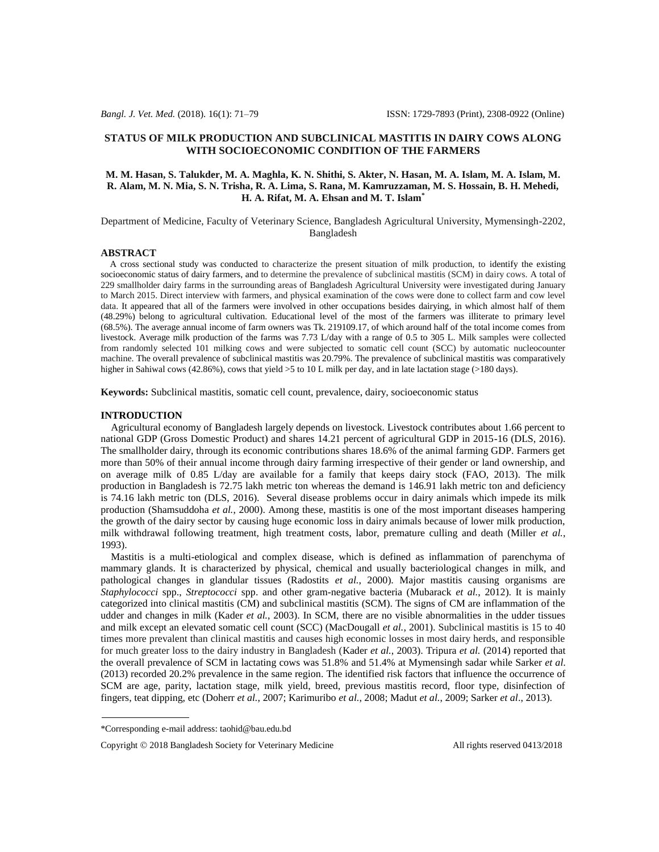# **STATUS OF MILK PRODUCTION AND SUBCLINICAL MASTITIS IN DAIRY COWS ALONG WITH SOCIOECONOMIC CONDITION OF THE FARMERS**

## **M. M. Hasan, S. Talukder, M. A. Maghla, K. N. Shithi, S. Akter, N. Hasan, M. A. Islam, M. A. Islam, M. R. Alam, M. N. Mia, S. N. Trisha, R. A. Lima, S. Rana, M. Kamruzzaman, M. S. Hossain, B. H. Mehedi, H. A. Rifat, M. A. Ehsan and M. T. Islam\***

Department of Medicine, Faculty of Veterinary Science, Bangladesh Agricultural University, Mymensingh-2202, Bangladesh

#### **ABSTRACT**

 A cross sectional study was conducted to characterize the present situation of milk production, to identify the existing socioeconomic status of dairy farmers, and to determine the prevalence of subclinical mastitis (SCM) in dairy cows. A total of 229 smallholder dairy farms in the surrounding areas of Bangladesh Agricultural University were investigated during January to March 2015. Direct interview with farmers, and physical examination of the cows were done to collect farm and cow level data. It appeared that all of the farmers were involved in other occupations besides dairying, in which almost half of them (48.29%) belong to agricultural cultivation. Educational level of the most of the farmers was illiterate to primary level (68.5%). The average annual income of farm owners was Tk. 219109.17, of which around half of the total income comes from livestock. Average milk production of the farms was 7.73 L/day with a range of 0.5 to 305 L. Milk samples were collected from randomly selected 101 milking cows and were subjected to somatic cell count (SCC) by automatic nucleocounter machine. The overall prevalence of subclinical mastitis was 20.79%. The prevalence of subclinical mastitis was comparatively higher in Sahiwal cows (42.86%), cows that yield  $>5$  to 10 L milk per day, and in late lactation stage ( $>180$  days).

**Keywords:** Subclinical mastitis, somatic cell count, prevalence, dairy, socioeconomic status

# **INTRODUCTION**

 Agricultural economy of Bangladesh largely depends on livestock. Livestock contributes about 1.66 percent to national GDP (Gross Domestic Product) and shares 14.21 percent of agricultural GDP in 2015-16 (DLS, 2016). The smallholder dairy, through its economic contributions shares 18.6% of the animal farming GDP. Farmers get more than 50% of their annual income through dairy farming irrespective of their gender or land ownership, and on average milk of 0.85 L/day are available for a family that keeps dairy stock (FAO, 2013). The milk production in Bangladesh is 72.75 lakh metric ton whereas the demand is 146.91 lakh metric ton and deficiency is 74.16 lakh metric ton (DLS, 2016). Several disease problems occur in dairy animals which impede its milk production (Shamsuddoha *et al.*, 2000). Among these, mastitis is one of the most important diseases hampering the growth of the dairy sector by causing huge economic loss in dairy animals because of lower milk production, milk withdrawal following treatment, high treatment costs, labor, premature culling and death (Miller *et al.*, 1993).

 Mastitis is a multi-etiological and complex disease, which is defined as inflammation of parenchyma of mammary glands. It is characterized by physical, chemical and usually bacteriological changes in milk, and pathological changes in glandular tissues (Radostits *et al.*, 2000). Major mastitis causing organisms are *Staphylococci* spp., *Streptococci* spp. and other gram-negative bacteria (Mubarack *et al.*, 2012). It is mainly categorized into clinical mastitis (CM) and subclinical mastitis (SCM). The signs of CM are inflammation of the udder and changes in milk (Kader *et al.*, 2003). In SCM, there are no visible abnormalities in the udder tissues and milk except an elevated somatic cell count (SCC) (MacDougall *et al.*, 2001). Subclinical mastitis is 15 to 40 times more prevalent than clinical mastitis and causes high economic losses in most dairy herds, and responsible for much greater loss to the dairy industry in Bangladesh (Kader *et al.*, 2003). Tripura *et al.* (2014) reported that the overall prevalence of SCM in lactating cows was 51.8% and 51.4% at Mymensingh sadar while Sarker *et al*. (2013) recorded 20.2% prevalence in the same region. The identified risk factors that influence the occurrence of SCM are age, parity, lactation stage, milk yield, breed, previous mastitis record, floor type, disinfection of fingers, teat dipping, etc (Doherr *et al.*, 2007; Karimuribo *et al.*, 2008; Madut *et al.*, 2009; Sarker *et al*., 2013).

Copyright  $\oslash$  2018 Bangladesh Society for Veterinary Medicine All rights reserved 0413/2018

<sup>\*</sup>Corresponding e-mail address[: taohid@bau.edu.bd](mailto:taohid@bau.edu.bd)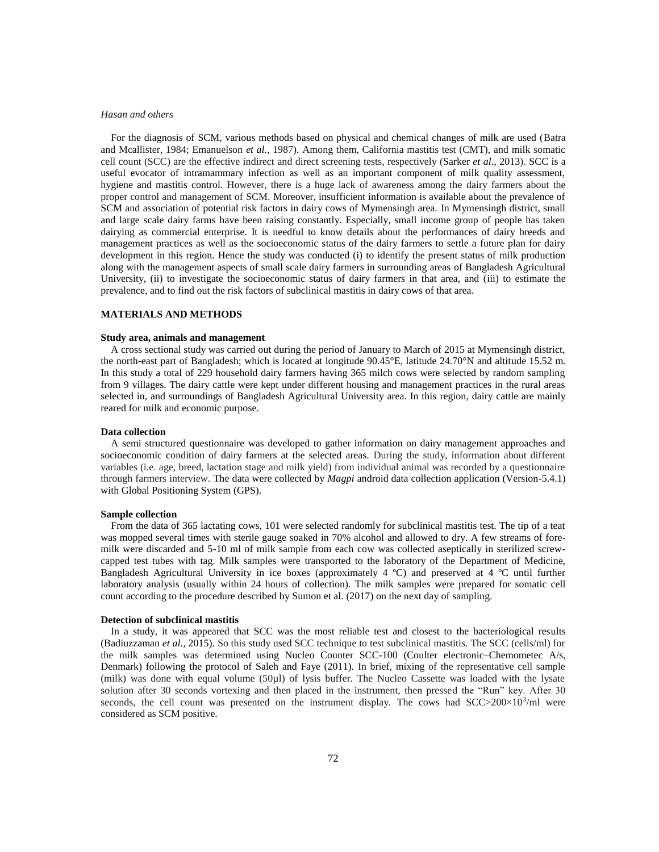For the diagnosis of SCM, various methods based on physical and chemical changes of milk are used (Batra and Mcallister, 1984; Emanuelson *et al.*, 1987). Among them, California mastitis test (CMT), and milk somatic cell count (SCC) are the effective indirect and direct screening tests, respectively (Sarker *et al*., 2013). SCC is a useful evocator of intramammary infection as well as an important component of milk quality assessment, hygiene and mastitis control. However, there is a huge lack of awareness among the dairy farmers about the proper control and management of SCM. Moreover, insufficient information is available about the prevalence of SCM and association of potential risk factors in dairy cows of Mymensingh area. In Mymensingh district, small and large scale dairy farms have been raising constantly. Especially, small income group of people has taken dairying as commercial enterprise. It is needful to know details about the performances of dairy breeds and management practices as well as the socioeconomic status of the dairy farmers to settle a future plan for dairy development in this region. Hence the study was conducted (i) to identify the present status of milk production along with the management aspects of small scale dairy farmers in surrounding areas of Bangladesh Agricultural University, (ii) to investigate the socioeconomic status of dairy farmers in that area, and (iii) to estimate the prevalence, and to find out the risk factors of subclinical mastitis in dairy cows of that area.

# **MATERIALS AND METHODS**

#### **Study area, animals and management**

 A cross sectional study was carried out during the period of January to March of 2015 at Mymensingh district, the north-east part of Bangladesh; which is located at longitude  $90.45^{\circ}$ E, latitude  $24.70^{\circ}$ N and altitude 15.52 m. In this study a total of 229 household dairy farmers having 365 milch cows were selected by random sampling from 9 villages. The dairy cattle were kept under different housing and management practices in the rural areas selected in, and surroundings of Bangladesh Agricultural University area. In this region, dairy cattle are mainly reared for milk and economic purpose.

#### **Data collection**

 A semi structured questionnaire was developed to gather information on dairy management approaches and socioeconomic condition of dairy farmers at the selected areas. During the study, information about different variables (i.e. age, breed, lactation stage and milk yield) from individual animal was recorded by a questionnaire through farmers interview. The data were collected by *Magpi* android data collection application (Version-5.4.1) with Global Positioning System (GPS).

### **Sample collection**

 From the data of 365 lactating cows, 101 were selected randomly for subclinical mastitis test. The tip of a teat was mopped several times with sterile gauge soaked in 70% alcohol and allowed to dry. A few streams of foremilk were discarded and 5-10 ml of milk sample from each cow was collected aseptically in sterilized screwcapped test tubes with tag. Milk samples were transported to the laboratory of the Department of Medicine, Bangladesh Agricultural University in ice boxes (approximately 4 ºC) and preserved at 4 ºC until further laboratory analysis (usually within 24 hours of collection). The milk samples were prepared for somatic cell count according to the procedure described by Sumon et al. (2017) on the next day of sampling.

#### **Detection of subclinical mastitis**

 In a study, it was appeared that SCC was the most reliable test and closest to the bacteriological results (Badiuzzaman *et al.*, 2015). So this study used SCC technique to test subclinical mastitis. The SCC (cells/ml) for the milk samples was determined using Nucleo Counter SCC-100 (Coulter electronic–Chemometec A/s, Denmark) following the protocol of Saleh and Faye (2011). In brief, mixing of the representative cell sample (milk) was done with equal volume (50µl) of lysis buffer. The Nucleo Cassette was loaded with the lysate solution after 30 seconds vortexing and then placed in the instrument, then pressed the "Run" key. After 30 seconds, the cell count was presented on the instrument display. The cows had  $SCC > 200 \times 10^3$ /ml were considered as SCM positive.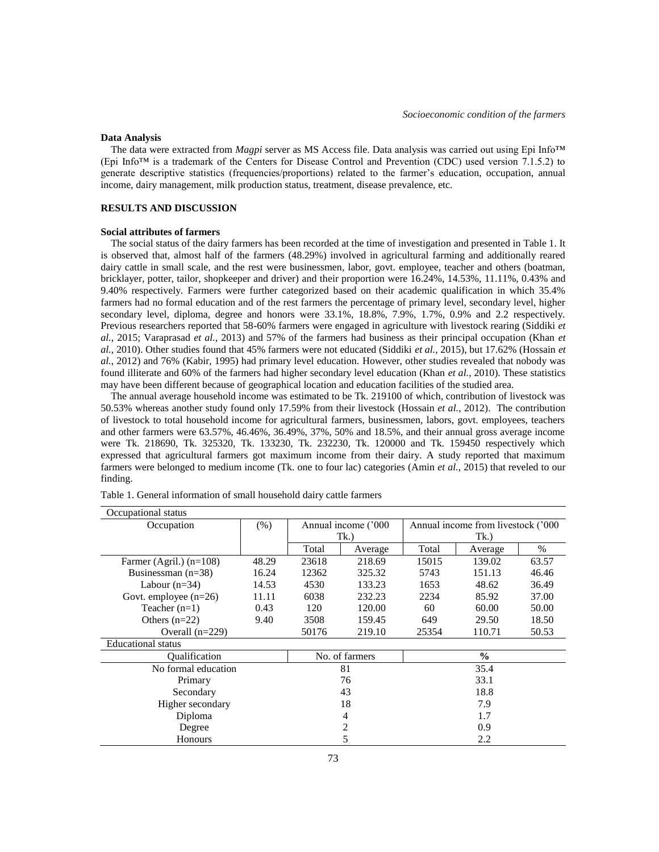#### **Data Analysis**

 The data were extracted from *Magpi* server as MS Access file. Data analysis was carried out using Epi Info™ (Epi Info™ is a trademark of the Centers for Disease Control and Prevention (CDC) used version 7.1.5.2) to generate descriptive statistics (frequencies/proportions) related to the farmer's education, occupation, annual income, dairy management, milk production status, treatment, disease prevalence, etc.

## **RESULTS AND DISCUSSION**

#### **Social attributes of farmers**

 The social status of the dairy farmers has been recorded at the time of investigation and presented in Table 1. It is observed that, almost half of the farmers (48.29%) involved in agricultural farming and additionally reared dairy cattle in small scale, and the rest were businessmen, labor, govt. employee, teacher and others (boatman, bricklayer, potter, tailor, shopkeeper and driver) and their proportion were 16.24%, 14.53%, 11.11%, 0.43% and 9.40% respectively. Farmers were further categorized based on their academic qualification in which 35.4% farmers had no formal education and of the rest farmers the percentage of primary level, secondary level, higher secondary level, diploma, degree and honors were 33.1%, 18.8%, 7.9%, 1.7%, 0.9% and 2.2 respectively. Previous researchers reported that 58-60% farmers were engaged in agriculture with livestock rearing (Siddiki *et al.*, 2015; Varaprasad *et al.*, 2013) and 57% of the farmers had business as their principal occupation (Khan *et al.*, 2010). Other studies found that 45% farmers were not educated (Siddiki *et al.*, 2015), but 17.62% (Hossain *et al.*, 2012) and 76% (Kabir, 1995) had primary level education. However, other studies revealed that nobody was found illiterate and 60% of the farmers had higher secondary level education (Khan *et al.*, 2010). These statistics may have been different because of geographical location and education facilities of the studied area.

 The annual average household income was estimated to be Tk. 219100 of which, contribution of livestock was 50.53% whereas another study found only 17.59% from their livestock (Hossain *et al.*, 2012). The contribution of livestock to total household income for agricultural farmers, businessmen, labors, govt. employees, teachers and other farmers were 63.57%, 46.46%, 36.49%, 37%, 50% and 18.5%, and their annual gross average income were Tk. 218690, Tk. 325320, Tk. 133230, Tk. 232230, Tk. 120000 and Tk. 159450 respectively which expressed that agricultural farmers got maximum income from their dairy. A study reported that maximum farmers were belonged to medium income (Tk. one to four lac) categories (Amin *et al.*, 2015) that reveled to our finding.

| Occupational status       |       |                     |         |                                    |         |       |  |
|---------------------------|-------|---------------------|---------|------------------------------------|---------|-------|--|
| Occupation                | (% )  | Annual income ('000 |         | Annual income from livestock ('000 |         |       |  |
|                           |       | Tk.)                |         | Tk.)                               |         |       |  |
|                           |       | Total               | Average | Total                              | Average | %     |  |
| Farmer (Agril.) $(n=108)$ | 48.29 | 23618               | 218.69  | 15015                              | 139.02  | 63.57 |  |
| Businessman $(n=38)$      | 16.24 | 12362               | 325.32  | 5743                               | 151.13  | 46.46 |  |
| Labour $(n=34)$           | 14.53 | 4530                | 133.23  | 1653                               | 48.62   | 36.49 |  |
| Govt. employee $(n=26)$   | 11.11 | 6038                | 232.23  | 2234                               | 85.92   | 37.00 |  |
| Teacher $(n=1)$           | 0.43  | 120                 | 120.00  | 60                                 | 60.00   | 50.00 |  |
| Others $(n=22)$           | 9.40  | 3508                | 159.45  | 649                                | 29.50   | 18.50 |  |
| Overall $(n=229)$         |       | 50176               | 219.10  | 25354                              | 110.71  | 50.53 |  |
| <b>Educational</b> status |       |                     |         |                                    |         |       |  |
| Qualification             |       | No. of farmers      |         | $\frac{0}{0}$                      |         |       |  |
| No formal education       |       | 81                  |         | 35.4                               |         |       |  |
| Primary                   |       | 76                  |         | 33.1                               |         |       |  |
| Secondary                 |       | 43                  |         | 18.8                               |         |       |  |
| Higher secondary          |       | 18                  |         | 7.9                                |         |       |  |
| Diploma                   |       | 4                   |         | 1.7                                |         |       |  |
| Degree                    |       | 2                   |         | 0.9                                |         |       |  |
| Honours                   |       | 5                   |         | 2.2                                |         |       |  |

Table 1. General information of small household dairy cattle farmers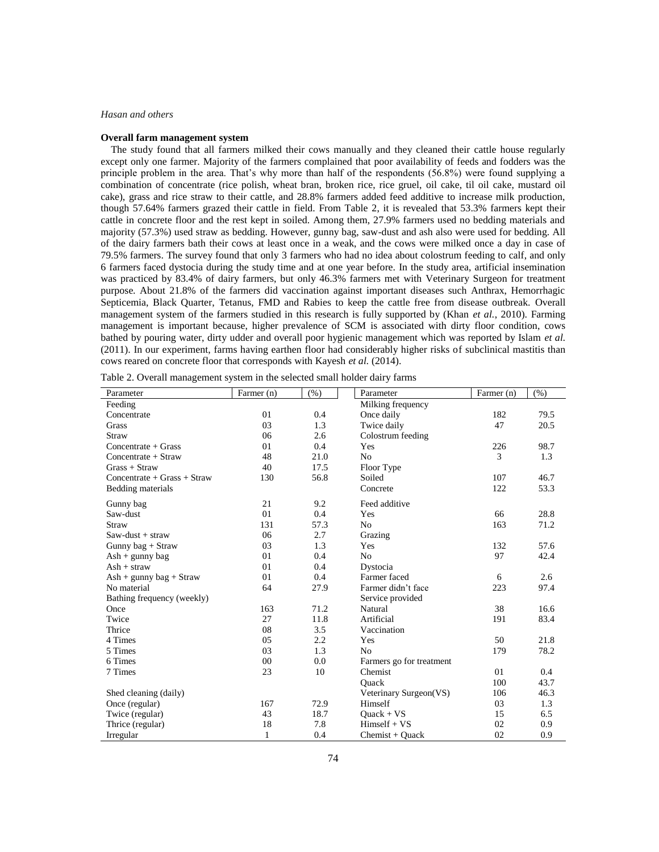#### **Overall farm management system**

 The study found that all farmers milked their cows manually and they cleaned their cattle house regularly except only one farmer. Majority of the farmers complained that poor availability of feeds and fodders was the principle problem in the area. That's why more than half of the respondents (56.8%) were found supplying a combination of concentrate (rice polish, wheat bran, broken rice, rice gruel, oil cake, til oil cake, mustard oil cake), grass and rice straw to their cattle, and 28.8% farmers added feed additive to increase milk production, though 57.64% farmers grazed their cattle in field. From Table 2, it is revealed that 53.3% farmers kept their cattle in concrete floor and the rest kept in soiled. Among them, 27.9% farmers used no bedding materials and majority (57.3%) used straw as bedding. However, gunny bag, saw-dust and ash also were used for bedding. All of the dairy farmers bath their cows at least once in a weak, and the cows were milked once a day in case of 79.5% farmers. The survey found that only 3 farmers who had no idea about colostrum feeding to calf, and only 6 farmers faced dystocia during the study time and at one year before. In the study area, artificial insemination was practiced by 83.4% of dairy farmers, but only 46.3% farmers met with Veterinary Surgeon for treatment purpose. About 21.8% of the farmers did vaccination against important diseases such Anthrax, Hemorrhagic Septicemia, Black Quarter, Tetanus, FMD and Rabies to keep the cattle free from disease outbreak. Overall management system of the farmers studied in this research is fully supported by (Khan *et al.*, 2010). Farming management is important because, higher prevalence of SCM is associated with dirty floor condition, cows bathed by pouring water, dirty udder and overall poor hygienic management which was reported by Islam *et al.* (2011). In our experiment, farms having earthen floor had considerably higher risks of subclinical mastitis than cows reared on concrete floor that corresponds with Kayesh *et al.* (2014).

| Parameter                       | Farmer (n) | (% ) | Parameter                | Farmer (n) | (% ) |
|---------------------------------|------------|------|--------------------------|------------|------|
| Feeding                         |            |      | Milking frequency        |            |      |
| Concentrate                     | 01         | 0.4  | Once daily               | 182        | 79.5 |
| Grass                           | 03         | 1.3  | Twice daily              | 47         | 20.5 |
| Straw                           | 06         | 2.6  | Colostrum feeding        |            |      |
| Concentrate $+$ Grass           | 01         | 0.4  | Yes                      | 226        | 98.7 |
| Concentrate + Straw             | 48         | 21.0 | N <sub>o</sub>           | 3          | 1.3  |
| $Grass + Straw$                 | 40         | 17.5 | Floor Type               |            |      |
| Concentrate + Grass + Straw     | 130        | 56.8 | Soiled                   | 107        | 46.7 |
| Bedding materials               |            |      | Concrete                 | 122        | 53.3 |
| Gunny bag                       | 21         | 9.2  | Feed additive            |            |      |
| Saw-dust                        | 01         | 0.4  | Yes                      | 66         | 28.8 |
| Straw                           | 131        | 57.3 | N <sub>o</sub>           | 163        | 71.2 |
| $Saw$ -dust + straw             | 06         | 2.7  | Grazing                  |            |      |
| Gunny bag + Straw               | 03         | 1.3  | Yes                      | 132        | 57.6 |
| $\text{Ash} + \text{gunny bag}$ | 01         | 0.4  | N <sub>o</sub>           | 97         | 42.4 |
| $Ash + straw$                   | 01         | 0.4  | Dystocia                 |            |      |
| $Ash + gunny bag + Straw$       | 01         | 0.4  | Farmer faced             | 6          | 2.6  |
| No material                     | 64         | 27.9 | Farmer didn't face       | 223        | 97.4 |
| Bathing frequency (weekly)      |            |      | Service provided         |            |      |
| Once                            | 163        | 71.2 | Natural                  | 38         | 16.6 |
| Twice                           | 27         | 11.8 | Artificial               | 191        | 83.4 |
| Thrice                          | 08         | 3.5  | Vaccination              |            |      |
| 4 Times                         | 05         | 2.2  | Yes                      | 50         | 21.8 |
| 5 Times                         | 03         | 1.3  | N <sub>0</sub>           | 179        | 78.2 |
| 6 Times                         | 00         | 0.0  | Farmers go for treatment |            |      |
| 7 Times                         | 23         | 10   | Chemist                  | 01         | 0.4  |
|                                 |            |      | Quack                    | 100        | 43.7 |
| Shed cleaning (daily)           |            |      | Veterinary Surgeon(VS)   | 106        | 46.3 |
| Once (regular)                  | 167        | 72.9 | Himself                  | 03         | 1.3  |
| Twice (regular)                 | 43         | 18.7 | $Quack + VS$             | 15         | 6.5  |
| Thrice (regular)                | 18         | 7.8  | $Himself + VS$           | 02         | 0.9  |
| Irregular                       | 1          | 0.4  | $Chemist + Quack$        | 02         | 0.9  |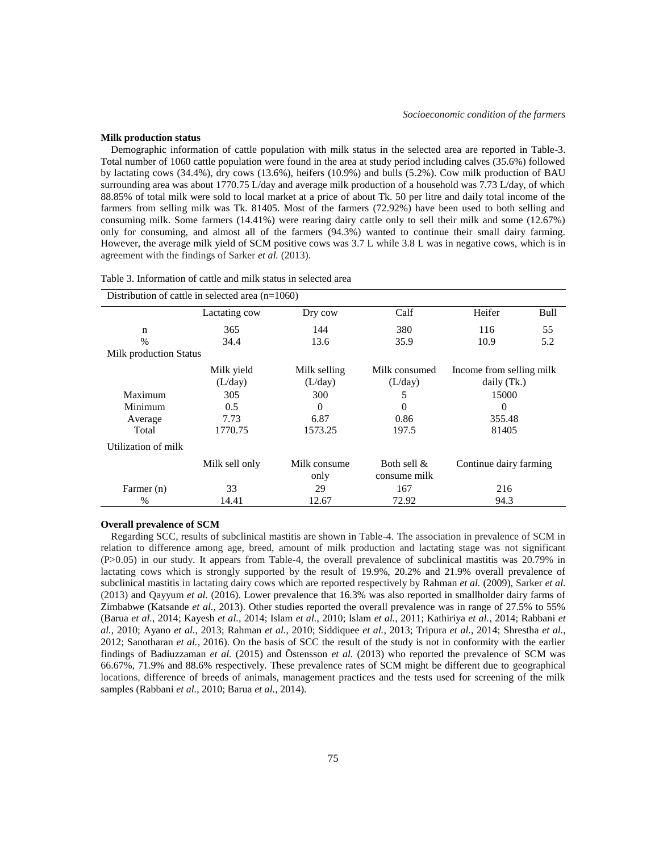## **Milk production status**

 Demographic information of cattle population with milk status in the selected area are reported in Table-3. Total number of 1060 cattle population were found in the area at study period including calves (35.6%) followed by lactating cows (34.4%), dry cows (13.6%), heifers (10.9%) and bulls (5.2%). Cow milk production of BAU surrounding area was about 1770.75 L/day and average milk production of a household was 7.73 L/day, of which 88.85% of total milk were sold to local market at a price of about Tk. 50 per litre and daily total income of the farmers from selling milk was Tk. 81405. Most of the farmers (72.92%) have been used to both selling and consuming milk. Some farmers (14.41%) were rearing dairy cattle only to sell their milk and some (12.67%) only for consuming, and almost all of the farmers (94.3%) wanted to continue their small dairy farming. However, the average milk yield of SCM positive cows was 3.7 L while 3.8 L was in negative cows, which is in agreement with the findings of Sarker *et al.* (2013).

| Distribution of cattle in selected area $(n=1060)$ |                |                      |                                |                          |      |  |  |
|----------------------------------------------------|----------------|----------------------|--------------------------------|--------------------------|------|--|--|
|                                                    | Lactating cow  | Dry cow              | Calf                           | Heifer                   | Bull |  |  |
| n                                                  | 365            | 144                  | 380                            | 116                      | 55   |  |  |
| $\frac{0}{0}$                                      | 34.4           | 13.6                 | 35.9                           | 10.9                     | 5.2  |  |  |
| Milk production Status                             |                |                      |                                |                          |      |  |  |
|                                                    | Milk yield     | Milk selling         | Milk consumed                  | Income from selling milk |      |  |  |
|                                                    | (L/day)        | (L/day)              | (L/day)                        | daily $(Tk.)$            |      |  |  |
| Maximum                                            | 305            | 300                  | 5                              | 15000                    |      |  |  |
| Minimum                                            | 0.5            | 0                    | $\Omega$                       | 0                        |      |  |  |
| Average                                            | 7.73           | 6.87                 | 0.86                           | 355.48                   |      |  |  |
| Total                                              | 1770.75        | 1573.25              | 197.5                          | 81405                    |      |  |  |
| Utilization of milk                                |                |                      |                                |                          |      |  |  |
|                                                    | Milk sell only | Milk consume<br>only | Both sell $\&$<br>consume milk | Continue dairy farming   |      |  |  |
| Farmer (n)                                         | 33             | 29                   | 167                            | 216                      |      |  |  |
| $\%$                                               | 14.41          | 12.67                | 72.92                          | 94.3                     |      |  |  |

|  | Table 3. Information of cattle and milk status in selected area |  |  |  |  |  |
|--|-----------------------------------------------------------------|--|--|--|--|--|
|--|-----------------------------------------------------------------|--|--|--|--|--|

#### **Overall prevalence of SCM**

 Regarding SCC, results of subclinical mastitis are shown in Table-4. The association in prevalence of SCM in relation to difference among age, breed, amount of milk production and lactating stage was not significant (P>0.05) in our study. It appears from Table-4, the overall prevalence of subclinical mastitis was 20.79% in lactating cows which is strongly supported by the result of 19.9%, 20.2% and 21.9% overall prevalence of subclinical mastitis in lactating dairy cows which are reported respectively by Rahman *et al.* (2009), Sarker *et al.* (2013) and Qayyum *et al.* (2016). Lower prevalence that 16.3% was also reported in smallholder dairy farms of Zimbabwe (Katsande *et al.*, 2013). Other studies reported the overall prevalence was in range of 27.5% to 55% (Barua *et al.*, 2014; Kayesh *et al.*, 2014; Islam *et al.*, 2010; Islam *et al.*, 2011; Kathiriya *et al.*, 2014; Rabbani *et al.*, 2010; Ayano *et al.*, 2013; Rahman *et al.*, 2010; Siddiquee *et al.*, 2013; Tripura *et al.*, 2014; Shrestha *et al.*, 2012; Sanotharan *et al.*, 2016). On the basis of SCC the result of the study is not in conformity with the earlier findings of Badiuzzaman *et al.* (2015) and Östensson *et al.* (2013) who reported the prevalence of SCM was 66.67%, 71.9% and 88.6% respectively. These prevalence rates of SCM might be different due to geographical locations, difference of breeds of animals, management practices and the tests used for screening of the milk samples (Rabbani *et al.*, 2010; Barua *et al.*, 2014).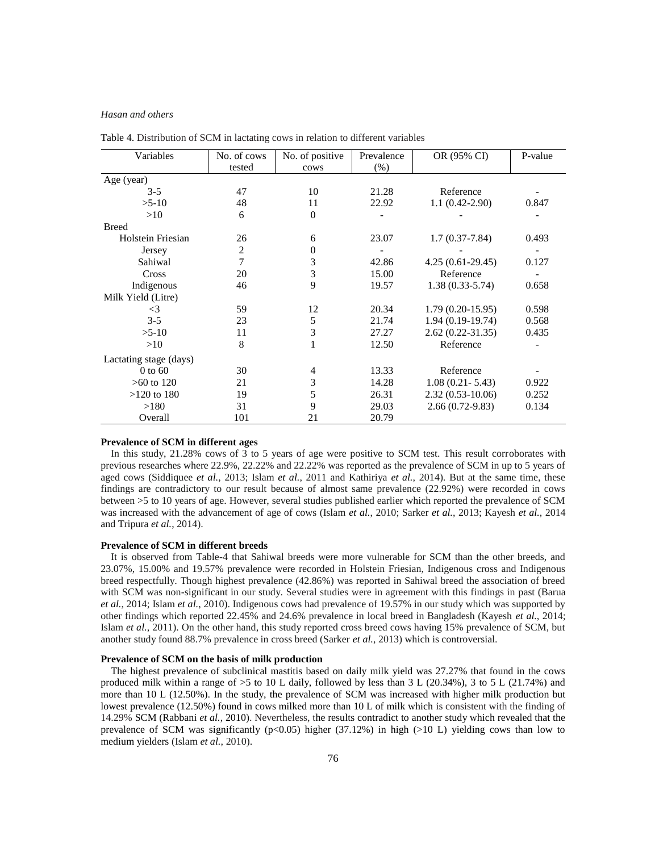| Variables              | No. of cows    | No. of positive | Prevalence | OR (95% CI)          | P-value |
|------------------------|----------------|-----------------|------------|----------------------|---------|
|                        | tested         | cows            | (%)        |                      |         |
| Age (year)             |                |                 |            |                      |         |
| $3-5$                  | 47             | 10              | 21.28      | Reference            |         |
| $>5-10$                | 48             | 11              | 22.92      | $1.1(0.42 - 2.90)$   | 0.847   |
| >10                    | 6              | $\Omega$        |            |                      |         |
| <b>Breed</b>           |                |                 |            |                      |         |
| Holstein Friesian      | 26             | 6               | 23.07      | $1.7(0.37-7.84)$     | 0.493   |
| Jersey                 | $\overline{2}$ | $\theta$        |            |                      |         |
| Sahiwal                | 7              | 3               | 42.86      | $4.25(0.61-29.45)$   | 0.127   |
| Cross                  | 20             | 3               | 15.00      | Reference            |         |
| Indigenous             | 46             | 9               | 19.57      | $1.38(0.33 - 5.74)$  | 0.658   |
| Milk Yield (Litre)     |                |                 |            |                      |         |
| $\leq$ 3               | 59             | 12              | 20.34      | $1.79(0.20-15.95)$   | 0.598   |
| $3 - 5$                | 23             | 5               | 21.74      | $1.94(0.19-19.74)$   | 0.568   |
| $>5-10$                | 11             | 3               | 27.27      | $2.62(0.22 - 31.35)$ | 0.435   |
| >10                    | 8              | 1               | 12.50      | Reference            |         |
| Lactating stage (days) |                |                 |            |                      |         |
| $0$ to 60              | 30             | $\overline{4}$  | 13.33      | Reference            |         |
| $>60$ to 120           | 21             | 3               | 14.28      | $1.08(0.21 - 5.43)$  | 0.922   |
| $>120$ to 180          | 19             | 5               | 26.31      | $2.32(0.53-10.06)$   | 0.252   |
| >180                   | 31             | 9               | 29.03      | $2.66(0.72-9.83)$    | 0.134   |
| Overall                | 101            | 21              | 20.79      |                      |         |

Table 4. Distribution of SCM in lactating cows in relation to different variables

#### **Prevalence of SCM in different ages**

 In this study, 21.28% cows of 3 to 5 years of age were positive to SCM test. This result corroborates with previous researches where 22.9%, 22.22% and 22.22% was reported as the prevalence of SCM in up to 5 years of aged cows (Siddiquee *et al.*, 2013; Islam *et al.*, 2011 and Kathiriya *et al.*, 2014). But at the same time, these findings are contradictory to our result because of almost same prevalence (22.92%) were recorded in cows between >5 to 10 years of age. However, several studies published earlier which reported the prevalence of SCM was increased with the advancement of age of cows (Islam *et al.*, 2010; Sarker *et al.*, 2013; Kayesh *et al.*, 2014 and Tripura *et al.*, 2014).

### **Prevalence of SCM in different breeds**

 It is observed from Table-4 that Sahiwal breeds were more vulnerable for SCM than the other breeds, and 23.07%, 15.00% and 19.57% prevalence were recorded in Holstein Friesian, Indigenous cross and Indigenous breed respectfully. Though highest prevalence (42.86%) was reported in Sahiwal breed the association of breed with SCM was non-significant in our study. Several studies were in agreement with this findings in past (Barua *et al.*, 2014; Islam *et al.*, 2010). Indigenous cows had prevalence of 19.57% in our study which was supported by other findings which reported 22.45% and 24.6% prevalence in local breed in Bangladesh (Kayesh *et al.*, 2014; Islam *et al.*, 2011). On the other hand, this study reported cross breed cows having 15% prevalence of SCM, but another study found 88.7% prevalence in cross breed (Sarker *et al.*, 2013) which is controversial.

### **Prevalence of SCM on the basis of milk production**

 The highest prevalence of subclinical mastitis based on daily milk yield was 27.27% that found in the cows produced milk within a range of  $>5$  to 10 L daily, followed by less than 3 L (20.34%), 3 to 5 L (21.74%) and more than 10 L (12.50%). In the study, the prevalence of SCM was increased with higher milk production but lowest prevalence (12.50%) found in cows milked more than 10 L of milk which is consistent with the finding of 14.29% SCM (Rabbani *et al.*, 2010). Nevertheless, the results contradict to another study which revealed that the prevalence of SCM was significantly  $(p<0.05)$  higher (37.12%) in high (>10 L) yielding cows than low to medium yielders (Islam *et al.*, 2010).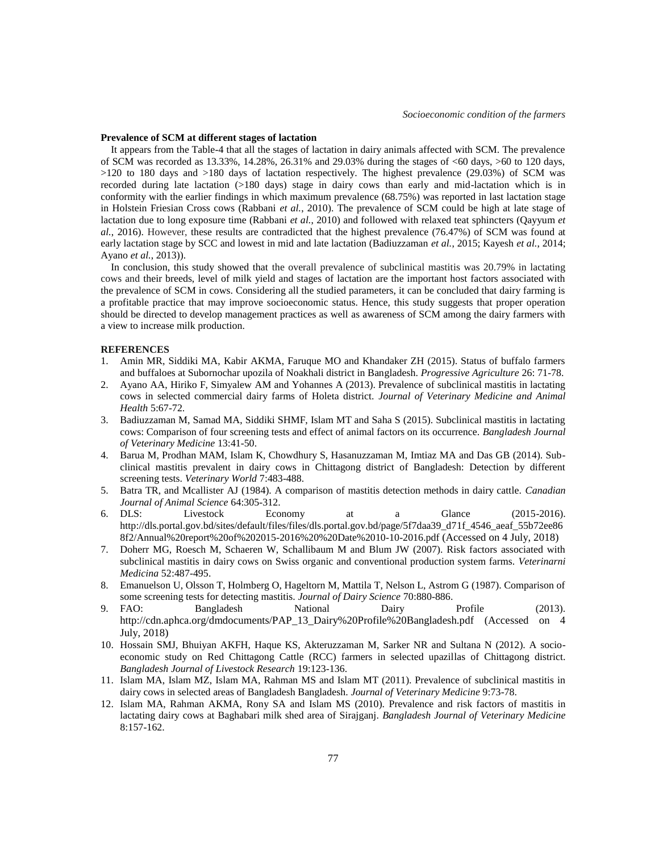### **Prevalence of SCM at different stages of lactation**

 It appears from the Table-4 that all the stages of lactation in dairy animals affected with SCM. The prevalence of SCM was recorded as 13.33%, 14.28%, 26.31% and 29.03% during the stages of <60 days, >60 to 120 days, >120 to 180 days and >180 days of lactation respectively. The highest prevalence (29.03%) of SCM was recorded during late lactation (>180 days) stage in dairy cows than early and mid-lactation which is in conformity with the earlier findings in which maximum prevalence (68.75%) was reported in last lactation stage in Holstein Friesian Cross cows (Rabbani *et al.*, 2010). The prevalence of SCM could be high at late stage of lactation due to long exposure time (Rabbani *et al.*, 2010) and followed with relaxed teat sphincters (Qayyum *et al.*, 2016). However, these results are contradicted that the highest prevalence (76.47%) of SCM was found at early lactation stage by SCC and lowest in mid and late lactation (Badiuzzaman *et al.*, 2015; Kayesh *et al.*, 2014; Ayano *et al.*, 2013)).

 In conclusion, this study showed that the overall prevalence of subclinical mastitis was 20.79% in lactating cows and their breeds, level of milk yield and stages of lactation are the important host factors associated with the prevalence of SCM in cows. Considering all the studied parameters, it can be concluded that dairy farming is a profitable practice that may improve socioeconomic status. Hence, this study suggests that proper operation should be directed to develop management practices as well as awareness of SCM among the dairy farmers with a view to increase milk production.

# **REFERENCES**

- 1. Amin MR, Siddiki MA, Kabir AKMA, Faruque MO and Khandaker ZH (2015). Status of buffalo farmers and buffaloes at Subornochar upozila of Noakhali district in Bangladesh. *Progressive Agriculture* 26: 71-78.
- 2. Ayano AA, Hiriko F, Simyalew AM and Yohannes A (2013). Prevalence of subclinical mastitis in lactating cows in selected commercial dairy farms of Holeta district. *Journal of Veterinary Medicine and Animal Health* 5:67-72.
- 3. Badiuzzaman M, Samad MA, Siddiki SHMF, Islam MT and Saha S (2015). Subclinical mastitis in lactating cows: Comparison of four screening tests and effect of animal factors on its occurrence. *Bangladesh Journal of Veterinary Medicine* 13:41-50.
- 4. Barua M, Prodhan MAM, Islam K, Chowdhury S, Hasanuzzaman M, Imtiaz MA and Das GB (2014). Subclinical mastitis prevalent in dairy cows in Chittagong district of Bangladesh: Detection by different screening tests. *Veterinary World* 7:483-488.
- 5. Batra TR, and Mcallister AJ (1984). A comparison of mastitis detection methods in dairy cattle. *Canadian Journal of Animal Science* 64:305-312.
- 6. DLS: Livestock Economy at a Glance (2015-2016). http://dls.portal.gov.bd/sites/default/files/files/dls.portal.gov.bd/page/5f7daa39\_d71f\_4546\_aeaf\_55b72ee86 8f2/Annual%20report%20of%202015-2016%20%20Date%2010-10-2016.pdf (Accessed on 4 July, 2018)
- 7. Doherr MG, Roesch M, Schaeren W, Schallibaum M and Blum JW (2007). Risk factors associated with subclinical mastitis in dairy cows on Swiss organic and conventional production system farms. *Veterinarni Medicina* 52:487-495.
- 8. Emanuelson U, Olsson T, Holmberg O, Hageltorn M, Mattila T, Nelson L, Astrom G (1987). Comparison of some screening tests for detecting mastitis. *Journal of Dairy Science* 70:880-886.
- 9. FAO: Bangladesh National Dairy Profile (2013). [http://cdn.aphca.org/dmdocuments/PAP\\_13\\_Dairy%20Profile%20Bangladesh.pdf](http://cdn.aphca.org/dmdocuments/PAP_13_Dairy%20Profile%20Bangladesh.pdf) (Accessed on 4 July, 2018)
- 10. Hossain SMJ, Bhuiyan AKFH, Haque KS, Akteruzzaman M, Sarker NR and Sultana N (2012). A socioeconomic study on Red Chittagong Cattle (RCC) farmers in selected upazillas of Chittagong district. *Bangladesh Journal of Livestock Research* 19:123-136.
- 11. Islam MA, Islam MZ, Islam MA, Rahman MS and Islam MT (2011). Prevalence of subclinical mastitis in dairy cows in selected areas of Bangladesh Bangladesh. *Journal of Veterinary Medicine* 9:73-78.
- 12. Islam MA, Rahman AKMA, Rony SA and Islam MS (2010). Prevalence and risk factors of mastitis in lactating dairy cows at Baghabari milk shed area of Sirajganj. *Bangladesh Journal of Veterinary Medicine* 8:157-162.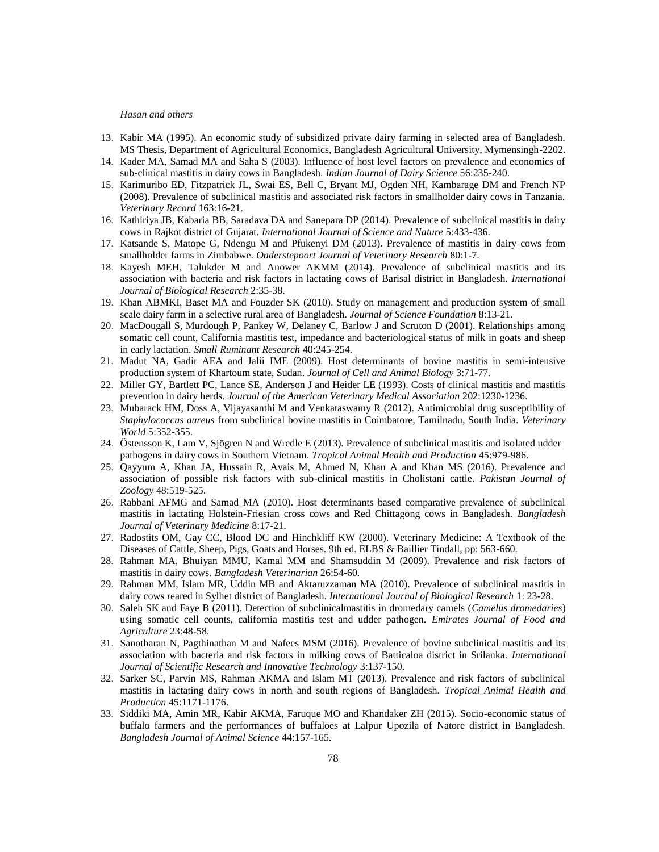- 13. Kabir MA (1995). An economic study of subsidized private dairy farming in selected area of Bangladesh. MS Thesis, Department of Agricultural Economics, Bangladesh Agricultural University, Mymensingh-2202.
- 14. Kader MA, Samad MA and Saha S (2003). Influence of host level factors on prevalence and economics of sub-clinical mastitis in dairy cows in Bangladesh. *Indian Journal of Dairy Science* 56:235-240.
- 15. Karimuribo ED, Fitzpatrick JL, Swai ES, Bell C, Bryant MJ, Ogden NH, Kambarage DM and French NP (2008). Prevalence of subclinical mastitis and associated risk factors in smallholder dairy cows in Tanzania. *Veterinary Record* 163:16-21.
- 16. Kathiriya JB, Kabaria BB, Saradava DA and Sanepara DP (2014). Prevalence of subclinical mastitis in dairy cows in Rajkot district of Gujarat. *International Journal of Science and Nature* 5:433-436.
- 17. Katsande S, Matope G, Ndengu M and Pfukenyi DM (2013). Prevalence of mastitis in dairy cows from smallholder farms in Zimbabwe. *Onderstepoort Journal of Veterinary Research* 80:1-7.
- 18. Kayesh MEH, Talukder M and Anower AKMM (2014). Prevalence of subclinical mastitis and its association with bacteria and risk factors in lactating cows of Barisal district in Bangladesh. *International Journal of Biological Research* 2:35-38.
- 19. Khan ABMKI, Baset MA and Fouzder SK (2010). Study on management and production system of small scale dairy farm in a selective rural area of Bangladesh. *Journal of Science Foundation* 8:13-21.
- 20. MacDougall S, Murdough P, Pankey W, Delaney C, Barlow J and Scruton D (2001). Relationships among somatic cell count, California mastitis test, impedance and bacteriological status of milk in goats and sheep in early lactation. *Small Ruminant Research* 40:245-254.
- 21. Madut NA, Gadir AEA and Jalii IME (2009). Host determinants of bovine mastitis in semi-intensive production system of Khartoum state, Sudan. *Journal of Cell and Animal Biology* 3:71-77.
- 22. Miller GY, Bartlett PC, Lance SE, Anderson J and Heider LE (1993). Costs of clinical mastitis and mastitis prevention in dairy herds. *Journal of the American Veterinary Medical Association* 202:1230-1236.
- 23. Mubarack HM, Doss A, Vijayasanthi M and Venkataswamy R (2012). Antimicrobial drug susceptibility of *Staphylococcus aureus* from subclinical bovine mastitis in Coimbatore, Tamilnadu, South India. *Veterinary World* 5:352-355.
- 24. Östensson K, Lam V, Sjögren N and Wredle E (2013). Prevalence of subclinical mastitis and isolated udder pathogens in dairy cows in Southern Vietnam. *Tropical Animal Health and Production* 45:979-986.
- 25. Qayyum A, Khan JA, Hussain R, Avais M, Ahmed N, Khan A and Khan MS (2016). Prevalence and association of possible risk factors with sub-clinical mastitis in Cholistani cattle. *Pakistan Journal of Zoology* 48:519-525.
- 26. Rabbani AFMG and Samad MA (2010). Host determinants based comparative prevalence of subclinical mastitis in lactating Holstein-Friesian cross cows and Red Chittagong cows in Bangladesh. *Bangladesh Journal of Veterinary Medicine* 8:17-21.
- 27. Radostits OM, Gay CC, Blood DC and Hinchkliff KW (2000). Veterinary Medicine: A Textbook of the Diseases of Cattle, Sheep, Pigs, Goats and Horses. 9th ed. ELBS & Baillier Tindall, pp: 563-660.
- 28. Rahman MA, Bhuiyan MMU, Kamal MM and Shamsuddin M (2009). Prevalence and risk factors of mastitis in dairy cows. *Bangladesh Veterinarian* 26:54-60.
- 29. Rahman MM, Islam MR, Uddin MB and Aktaruzzaman MA (2010). Prevalence of subclinical mastitis in dairy cows reared in Sylhet district of Bangladesh. *International Journal of Biological Research* 1: 23-28.
- 30. Saleh SK and Faye B (2011). Detection of subclinicalmastitis in dromedary camels (*Camelus dromedaries*) using somatic cell counts, california mastitis test and udder pathogen. *Emirates Journal of Food and Agriculture* 23:48-58.
- 31. Sanotharan N, Pagthinathan M and Nafees MSM (2016). Prevalence of bovine subclinical mastitis and its association with bacteria and risk factors in milking cows of Batticaloa district in Srilanka. *International Journal of Scientific Research and Innovative Technology* 3:137-150.
- 32. Sarker SC, Parvin MS, Rahman AKMA and Islam MT (2013). Prevalence and risk factors of subclinical mastitis in lactating dairy cows in north and south regions of Bangladesh. *Tropical Animal Health and Production* 45:1171-1176.
- 33. Siddiki MA, Amin MR, Kabir AKMA, Faruque MO and Khandaker ZH (2015). Socio-economic status of buffalo farmers and the performances of buffaloes at Lalpur Upozila of Natore district in Bangladesh. *Bangladesh Journal of Animal Science* 44:157-165.